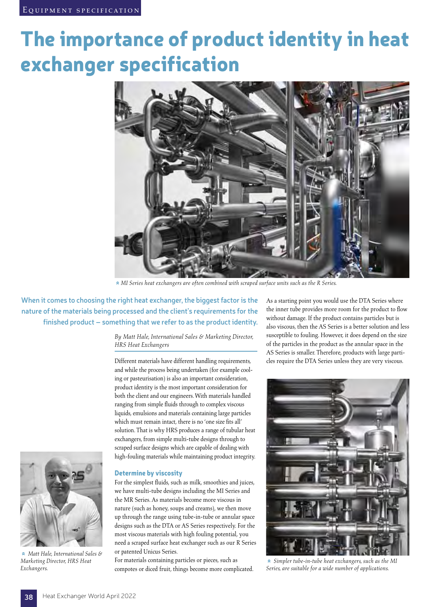# The importance of product identity in heat exchanger specification



» *MI Series heat exchangers are often combined with scraped surface units such as the R Series.*

**When it comes to choosing the right heat exchanger, the biggest factor is the nature of the materials being processed and the client's requirements for the finished product – something that we refer to as the product identity.**

> *By Matt Hale, International Sales & Marketing Director, HRS Heat Exchangers*

Different materials have different handling requirements, and while the process being undertaken (for example cooling or pasteurisation) is also an important consideration, product identity is the most important consideration for both the client and our engineers. With materials handled ranging from simple fluids through to complex viscous liquids, emulsions and materials containing large particles which must remain intact, there is no 'one size fits all' solution. That is why HRS produces a range of tubular heat exchangers, from simple multi-tube designs through to scraped surface designs which are capable of dealing with high-fouling materials while maintaining product integrity.



For the simplest fluids, such as milk, smoothies and juices, we have multi-tube designs including the MI Series and the MR Series. As materials become more viscous in nature (such as honey, soups and creams), we then move up through the range using tube-in-tube or annular space designs such as the DTA or AS Series respectively. For the most viscous materials with high fouling potential, you need a scraped surface heat exchanger such as our R Series or patented Unicus Series.

For materials containing particles or pieces, such as compotes or diced fruit, things become more complicated. As a starting point you would use the DTA Series where the inner tube provides more room for the product to flow without damage. If the product contains particles but is also viscous, then the AS Series is a better solution and less susceptible to fouling. However, it does depend on the size of the particles in the product as the annular space in the AS Series is smaller. Therefore, products with large particles require the DTA Series unless they are very viscous.



»  *Simpler tube-in-tube heat exchangers, such as the MI Series, are suitable for a wide number of applications.*



»  *Matt Hale, International Sales & Marketing Director, HRS Heat Exchangers.*